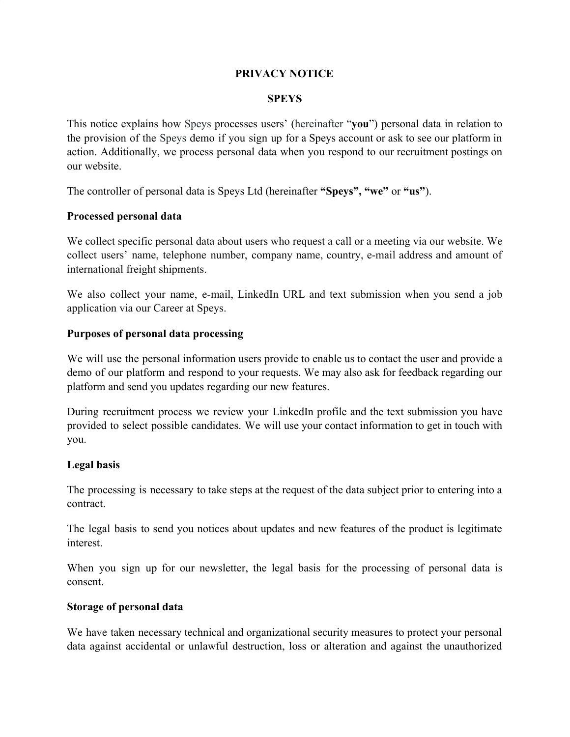# **PRIVACY NOTICE**

#### **SPEYS**

This notice explains how Speys processes users' (hereinafter "**you**") personal data in relation to the provision of the Speys demo if you sign up for a Speys account or ask to see our platform in action. Additionally, we process personal data when you respond to our recruitment postings on our website.

The controller of personal data is Speys Ltd (hereinafter **"Speys", "we"** or **"us"**).

### **Processed personal data**

We collect specific personal data about users who request a call or a meeting via our website. We collect users' name, telephone number, company name, country, e-mail address and amount of international freight shipments.

We also collect your name, e-mail, LinkedIn URL and text submission when you send a job application via our Career at Speys.

### **Purposes of personal data processing**

We will use the personal information users provide to enable us to contact the user and provide a demo of our platform and respond to your requests. We may also ask for feedback regarding our platform and send you updates regarding our new features.

During recruitment process we review your LinkedIn profile and the text submission you have provided to select possible candidates. We will use your contact information to get in touch with you.

### **Legal basis**

The processing is necessary to take steps at the request of the data subject prior to entering into a contract.

The legal basis to send you notices about updates and new features of the product is legitimate interest.

When you sign up for our newsletter, the legal basis for the processing of personal data is consent.

### **Storage of personal data**

We have taken necessary technical and organizational security measures to protect your personal data against accidental or unlawful destruction, loss or alteration and against the unauthorized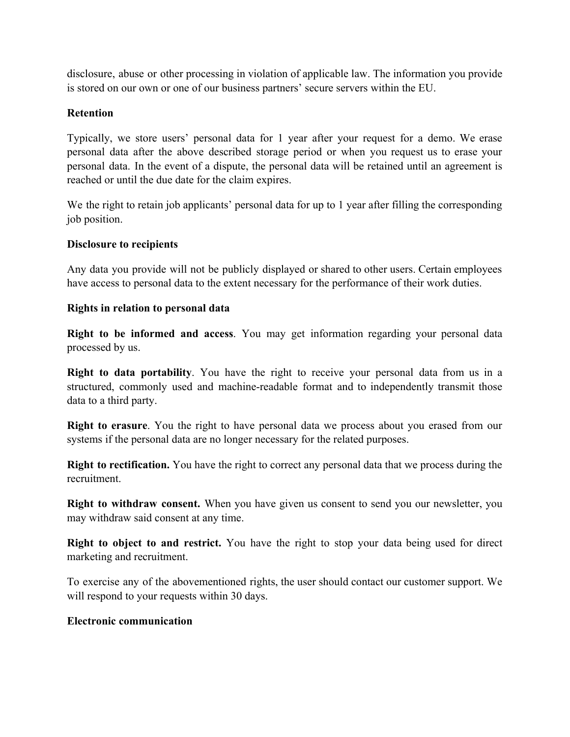disclosure, abuse or other processing in violation of applicable law. The information you provide is stored on our own or one of our business partners' secure servers within the EU.

# **Retention**

Typically, we store users' personal data for 1 year after your request for a demo. We erase personal data after the above described storage period or when you request us to erase your personal data. In the event of a dispute, the personal data will be retained until an agreement is reached or until the due date for the claim expires.

We the right to retain job applicants' personal data for up to 1 year after filling the corresponding job position.

# **Disclosure to recipients**

Any data you provide will not be publicly displayed or shared to other users. Certain employees have access to personal data to the extent necessary for the performance of their work duties.

### **Rights in relation to personal data**

**Right to be informed and access**. You may get information regarding your personal data processed by us.

**Right to data portability**. You have the right to receive your personal data from us in a structured, commonly used and machine-readable format and to independently transmit those data to a third party.

**Right to erasure**. You the right to have personal data we process about you erased from our systems if the personal data are no longer necessary for the related purposes.

**Right to rectification.** You have the right to correct any personal data that we process during the recruitment.

**Right to withdraw consent.** When you have given us consent to send you our newsletter, you may withdraw said consent at any time.

**Right to object to and restrict.** You have the right to stop your data being used for direct marketing and recruitment.

To exercise any of the abovementioned rights, the user should contact our customer support. We will respond to your requests within 30 days.

# **Electronic communication**